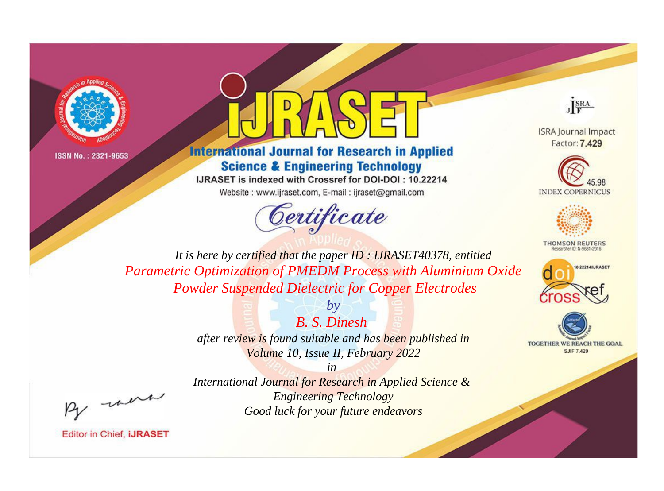



## **International Journal for Research in Applied Science & Engineering Technology**

IJRASET is indexed with Crossref for DOI-DOI: 10.22214

Website: www.ijraset.com, E-mail: ijraset@gmail.com





**ISRA Journal Impact** Factor: 7.429





**THOMSON REUTERS** 



TOGETHER WE REACH THE GOAL **SJIF 7.429** 

*It is here by certified that the paper ID : IJRASET40378, entitled Parametric Optimization of PMEDM Process with Aluminium Oxide Powder Suspended Dielectric for Copper Electrodes*

> *B. S. Dinesh after review is found suitable and has been published in Volume 10, Issue II, February 2022*

*by*

*in International Journal for Research in Applied Science & Engineering Technology Good luck for your future endeavors*

, un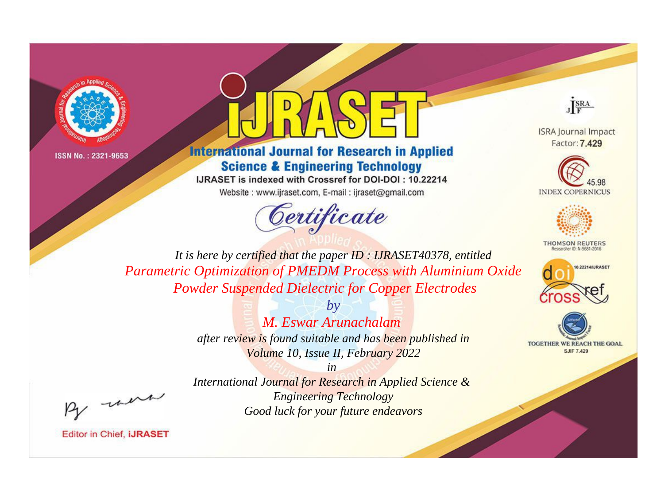



## **International Journal for Research in Applied Science & Engineering Technology**

IJRASET is indexed with Crossref for DOI-DOI: 10.22214

Website: www.ijraset.com, E-mail: ijraset@gmail.com





**ISRA Journal Impact** Factor: 7.429





**THOMSON REUTERS** 



TOGETHER WE REACH THE GOAL **SJIF 7.429** 

*It is here by certified that the paper ID : IJRASET40378, entitled Parametric Optimization of PMEDM Process with Aluminium Oxide Powder Suspended Dielectric for Copper Electrodes*

> *by M. Eswar Arunachalam after review is found suitable and has been published in Volume 10, Issue II, February 2022*

, un

*International Journal for Research in Applied Science & Engineering Technology Good luck for your future endeavors*

*in*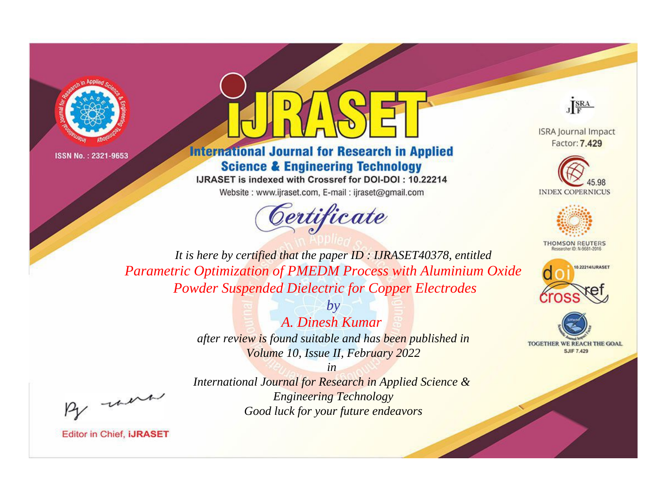



## **International Journal for Research in Applied Science & Engineering Technology**

IJRASET is indexed with Crossref for DOI-DOI: 10.22214

Website: www.ijraset.com, E-mail: ijraset@gmail.com





**ISRA Journal Impact** Factor: 7.429





**THOMSON REUTERS** 



TOGETHER WE REACH THE GOAL **SJIF 7.429** 

*It is here by certified that the paper ID : IJRASET40378, entitled Parametric Optimization of PMEDM Process with Aluminium Oxide Powder Suspended Dielectric for Copper Electrodes*

> *by A. Dinesh Kumar after review is found suitable and has been published in Volume 10, Issue II, February 2022*

, un

*International Journal for Research in Applied Science & Engineering Technology Good luck for your future endeavors*

*in*